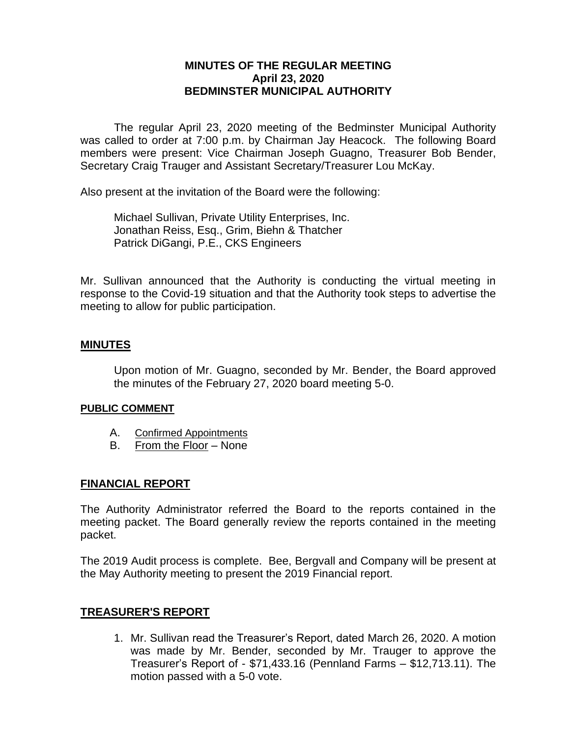# **MINUTES OF THE REGULAR MEETING April 23, 2020 BEDMINSTER MUNICIPAL AUTHORITY**

The regular April 23, 2020 meeting of the Bedminster Municipal Authority was called to order at 7:00 p.m. by Chairman Jay Heacock. The following Board members were present: Vice Chairman Joseph Guagno, Treasurer Bob Bender, Secretary Craig Trauger and Assistant Secretary/Treasurer Lou McKay.

Also present at the invitation of the Board were the following:

Michael Sullivan, Private Utility Enterprises, Inc. Jonathan Reiss, Esq., Grim, Biehn & Thatcher Patrick DiGangi, P.E., CKS Engineers

Mr. Sullivan announced that the Authority is conducting the virtual meeting in response to the Covid-19 situation and that the Authority took steps to advertise the meeting to allow for public participation.

#### **MINUTES**

Upon motion of Mr. Guagno, seconded by Mr. Bender, the Board approved the minutes of the February 27, 2020 board meeting 5-0.

#### **PUBLIC COMMENT**

- A. Confirmed Appointments
- B. From the Floor None

#### **FINANCIAL REPORT**

The Authority Administrator referred the Board to the reports contained in the meeting packet. The Board generally review the reports contained in the meeting packet.

The 2019 Audit process is complete. Bee, Bergvall and Company will be present at the May Authority meeting to present the 2019 Financial report.

#### **TREASURER'S REPORT**

1. Mr. Sullivan read the Treasurer's Report, dated March 26, 2020. A motion was made by Mr. Bender, seconded by Mr. Trauger to approve the Treasurer's Report of - \$71,433.16 (Pennland Farms – \$12,713.11). The motion passed with a 5-0 vote.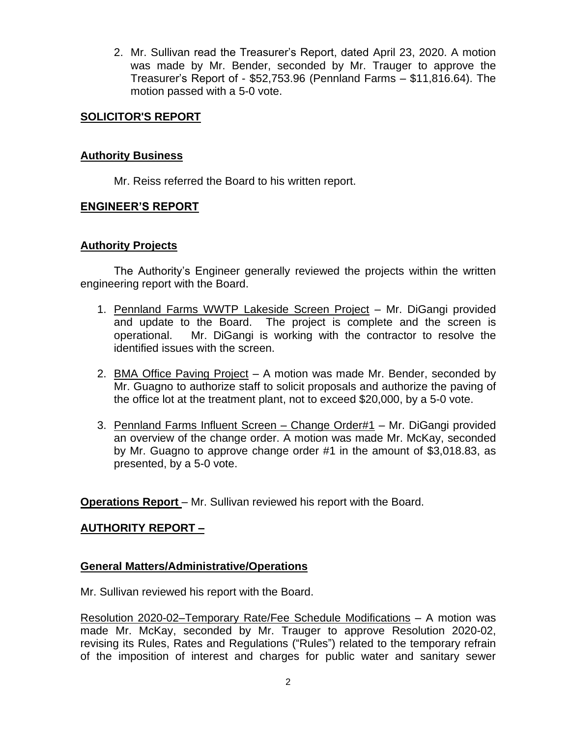2. Mr. Sullivan read the Treasurer's Report, dated April 23, 2020. A motion was made by Mr. Bender, seconded by Mr. Trauger to approve the Treasurer's Report of - \$52,753.96 (Pennland Farms – \$11,816.64). The motion passed with a 5-0 vote.

# **SOLICITOR'S REPORT**

### **Authority Business**

Mr. Reiss referred the Board to his written report.

# **ENGINEER'S REPORT**

### **Authority Projects**

The Authority's Engineer generally reviewed the projects within the written engineering report with the Board.

- 1. Pennland Farms WWTP Lakeside Screen Project Mr. DiGangi provided and update to the Board. The project is complete and the screen is operational. Mr. DiGangi is working with the contractor to resolve the identified issues with the screen.
- 2. BMA Office Paving Project A motion was made Mr. Bender, seconded by Mr. Guagno to authorize staff to solicit proposals and authorize the paving of the office lot at the treatment plant, not to exceed \$20,000, by a 5-0 vote.
- 3. Pennland Farms Influent Screen Change Order#1 Mr. DiGangi provided an overview of the change order. A motion was made Mr. McKay, seconded by Mr. Guagno to approve change order #1 in the amount of \$3,018.83, as presented, by a 5-0 vote.

**Operations Report** – Mr. Sullivan reviewed his report with the Board.

# **AUTHORITY REPORT –**

### **General Matters/Administrative/Operations**

Mr. Sullivan reviewed his report with the Board.

Resolution 2020-02–Temporary Rate/Fee Schedule Modifications – A motion was made Mr. McKay, seconded by Mr. Trauger to approve Resolution 2020-02, revising its Rules, Rates and Regulations ("Rules") related to the temporary refrain of the imposition of interest and charges for public water and sanitary sewer